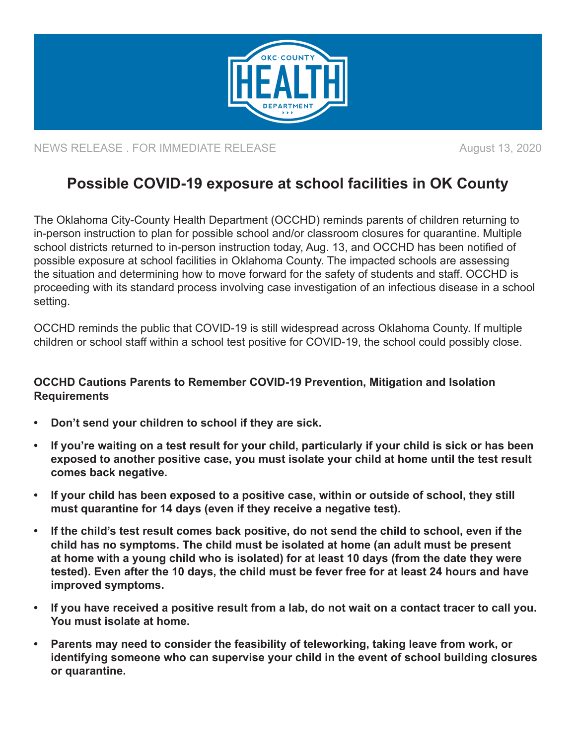

NEWS RELEASE . FOR IMMEDIATE RELEASE **August 13, 2020** 

## **Possible COVID-19 exposure at school facilities in OK County**

The Oklahoma City-County Health Department (OCCHD) reminds parents of children returning to in-person instruction to plan for possible school and/or classroom closures for quarantine. Multiple school districts returned to in-person instruction today, Aug. 13, and OCCHD has been notified of possible exposure at school facilities in Oklahoma County. The impacted schools are assessing the situation and determining how to move forward for the safety of students and staff. OCCHD is proceeding with its standard process involving case investigation of an infectious disease in a school setting.

OCCHD reminds the public that COVID-19 is still widespread across Oklahoma County. If multiple children or school staff within a school test positive for COVID-19, the school could possibly close.

## **OCCHD Cautions Parents to Remember COVID-19 Prevention, Mitigation and Isolation Requirements**

- **• Don't send your children to school if they are sick.**
- **• If you're waiting on a test result for your child, particularly if your child is sick or has been exposed to another positive case, you must isolate your child at home until the test result comes back negative.**
- **• If your child has been exposed to a positive case, within or outside of school, they still must quarantine for 14 days (even if they receive a negative test).**
- **• If the child's test result comes back positive, do not send the child to school, even if the child has no symptoms. The child must be isolated at home (an adult must be present at home with a young child who is isolated) for at least 10 days (from the date they were tested). Even after the 10 days, the child must be fever free for at least 24 hours and have improved symptoms.**
- **• If you have received a positive result from a lab, do not wait on a contact tracer to call you. You must isolate at home.**
- **• Parents may need to consider the feasibility of teleworking, taking leave from work, or identifying someone who can supervise your child in the event of school building closures or quarantine.**